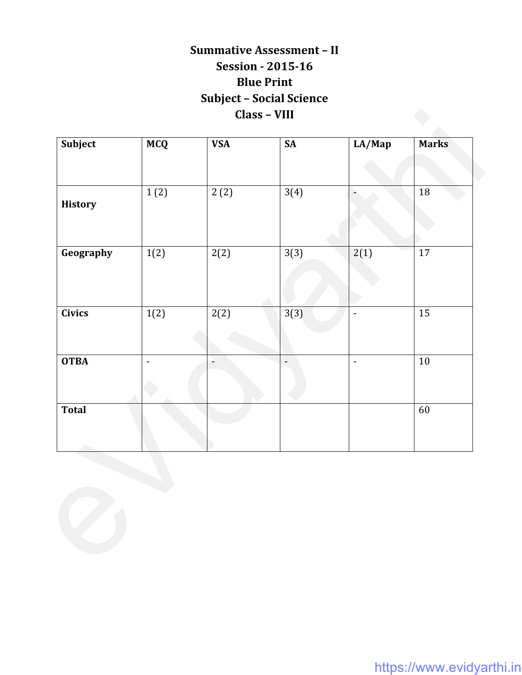## **Summative Assessment – II Session - 2015-16 Blue Print Subject – Social Science Class – VIII**

| Subject        | <b>MCQ</b>               | <b>VSA</b> | <b>SA</b>      | LA/Map         | <b>Marks</b>    |
|----------------|--------------------------|------------|----------------|----------------|-----------------|
| <b>History</b> | 1(2)                     | 2(2)       | 3(4)           | ٠              | $18\,$          |
| Geography      | 1(2)                     | 2(2)       | 3(3)           | 2(1)           | $\overline{17}$ |
| <b>Civics</b>  | $\overline{1(2)}$        | 2(2)       | 3(3)           | $\blacksquare$ | 15              |
| <b>OTBA</b>    | $\overline{\phantom{a}}$ |            | $\blacksquare$ | $\blacksquare$ | $10$            |
| <b>Total</b>   |                          |            |                |                | 60              |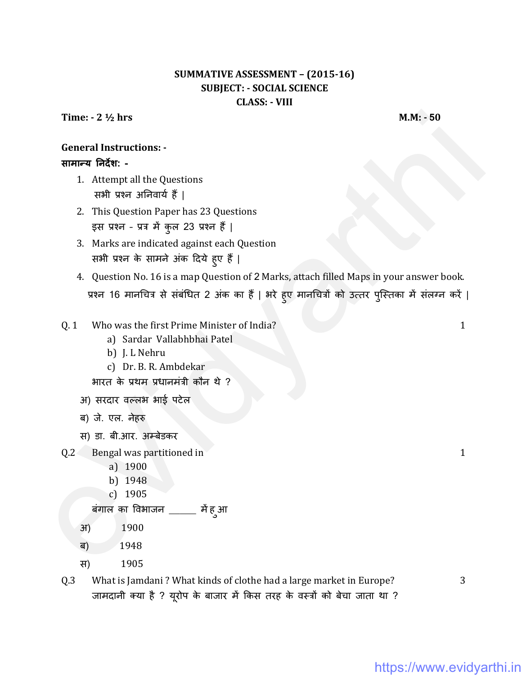### **SUMMATIVE ASSESSMENT - (2015-16) SUBJECT: - SOCIAL SCIENCE CLASS: - VIII**

Time:  $-2\frac{1}{2}$  hrs

 $M.M.: -50$ 

## **General Instructions: -**

#### सामान्य निर्देश: -

- 1. Attempt all the Questions सभी प्रश्न अनिवार्य हैं |
- 2. This Question Paper has 23 Questions इस प्रश्न - प्रत्र में कुल 23 प्रश्न हैं |
- 3. Marks are indicated against each Question सभी प्रश्न के सामने अंक दिये हुए हैं |
- 4. Question No. 16 is a map Question of 2 Marks, attach filled Maps in your answer book. प्रश्न 16 मानचित्र से संबंधित 2 अंक का हैं | भरे हुए मानचित्रों को उत्तर पुस्तिका में संलग्न करें |

#### Who was the first Prime Minister of India?  $0.1$

- a) Sardar Vallabhbhai Patel
- b) J. L Nehru
- c) Dr. B. R. Ambdekar

भारत के प्रथम प्रधानमंत्री कौन थे ?

- अ) सरदार वल्लभ भाई पटेल
- ब) जे. एल. नेहरु

स) डा. बी.आर. अम्बेडकर

- $0.2$ Bengal was partitioned in
	- a) 1900
	- b) 1948
	- c) 1905
	- बंगाल का विभाजन \_\_\_\_ में हुआ
	- 1900  $3f)$
	- 1948 ब)
	- 1905 स)

#### What is Jamdani? What kinds of clothe had a large market in Europe?  $Q.3$ जामदानी क्या है ? यूरोप के बाजार में किस तरह के वस्त्रों को बेचा जाता था ?

3

 $\mathbf{1}$ 

 $\mathbf{1}$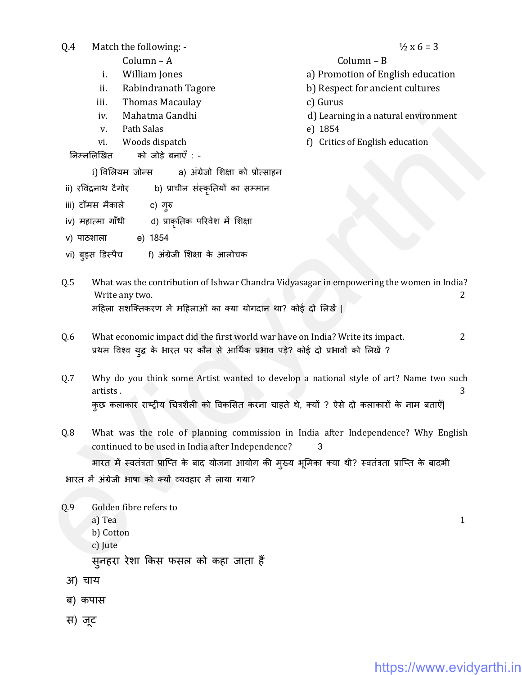| Q.4    | Match the following: -                                                                                     | $\frac{1}{2}x6 = 3$                             |
|--------|------------------------------------------------------------------------------------------------------------|-------------------------------------------------|
|        | Column - A                                                                                                 | Column - B                                      |
|        | William Jones<br>i.                                                                                        | a) Promotion of English education               |
|        | ii.<br>Rabindranath Tagore                                                                                 | b) Respect for ancient cultures                 |
|        | <b>Thomas Macaulay</b><br>iii.                                                                             | c) Gurus                                        |
|        | Mahatma Gandhi<br>iv.<br>Path Salas<br>V.                                                                  | d) Learning in a natural environment<br>e) 1854 |
|        | Woods dispatch<br>vi.                                                                                      | f) Critics of English education                 |
|        | को जोड़े बनाएँ : -<br>निम्नलिखित                                                                           |                                                 |
|        | i) विलियम जोन्स<br>a) अंग्रेजो शिक्षा को प्रोत्साहन                                                        |                                                 |
|        | ii) रविंद्रनाथ टैगोर<br>b) प्राचीन संस्कृतियों का सम्मान                                                   |                                                 |
|        | iii) टॉमस मैकाले<br>c) गुरु                                                                                |                                                 |
|        | iv) महात्मा गाँधी<br>d) प्राकृतिक परिवेश में शिक्षा                                                        |                                                 |
|        | e) 1854<br>v) पाठशाला                                                                                      |                                                 |
|        | vi) ब् <b>ड्स डिस्पैच</b><br>f) अंग्रेजी शिक्षा के आलोचक                                                   |                                                 |
|        |                                                                                                            |                                                 |
| Q.5    | What was the contribution of Ishwar Chandra Vidyasagar in empowering the women in India?<br>Write any two. | 2                                               |
|        | महिला सशक्तिकरण में महिलाओं का क्या योगदान था? कोई दो लिखें                                                |                                                 |
|        |                                                                                                            |                                                 |
| Q.6    | What economic impact did the first world war have on India? Write its impact.                              | 2                                               |
|        | प्रथम विश्व युद्ध के भारत पर कौन से आर्थिक प्रभाव पड़े? कोई दो प्रभावों को लिखें ?                         |                                                 |
|        |                                                                                                            |                                                 |
| Q.7    | Why do you think some Artist wanted to develop a national style of art? Name two such<br>artists.          | 3                                               |
|        | कुछ कलाकार राष्ट्रीय चित्रशैली को विकसित करना चाहते थे, क्यों ? ऐसे दो कलाकारों के नाम बताएँ               |                                                 |
|        |                                                                                                            |                                                 |
| Q.8    | What was the role of planning commission in India after Independence? Why English                          |                                                 |
|        | continued to be used in India after Independence?                                                          | 3                                               |
|        | भारत में स्वतंत्रता प्राप्ति के बाद योजना आयोग की मुख्य भूमिका क्या थी? स्वतंत्रता प्राप्ति के बादभी       |                                                 |
|        | भारत में अंग्रेजी भाषा को क्यों व्यवहार में लाया गया?                                                      |                                                 |
|        |                                                                                                            |                                                 |
| Q.9    | Golden fibre refers to                                                                                     |                                                 |
|        | a) Tea<br>b) Cotton                                                                                        | $\mathbf{1}$                                    |
|        | c) Jute                                                                                                    |                                                 |
|        | स् <b>नहरा रेशा किस फसल को कहा जाता</b> हैं                                                                |                                                 |
| अ) चाय |                                                                                                            |                                                 |
|        |                                                                                                            |                                                 |
|        | ब) कपास                                                                                                    |                                                 |
| स) जूट |                                                                                                            |                                                 |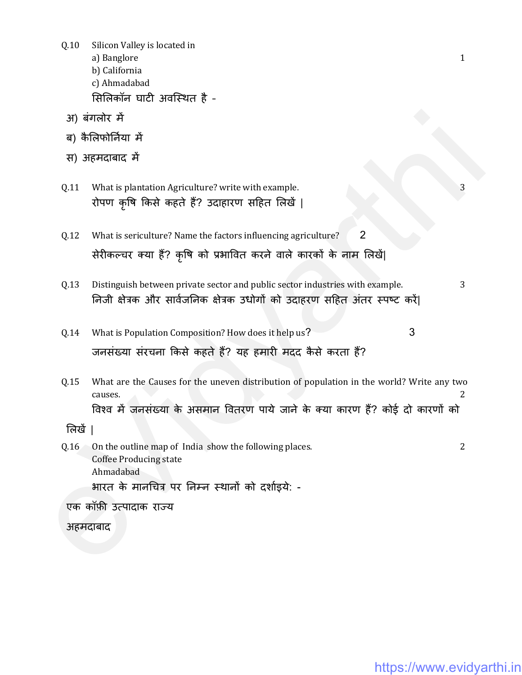$Q.10$ Silicon Valley is located in  $\mathbf{1}$ a) Banglore b) California c) Ahmadabad सिलिकॉन घाटी अवस्थित है -अ) बंगलोर में ब) कैलिफोर्निया में स) अहमदाबाद में  $0.11$ What is plantation Agriculture? write with example. 3 रोपण कृषि किसे कहते हैं? उदाहारण सहित लिखें |  $\overline{2}$  $Q.12$ What is sericulture? Name the factors influencing agriculture? सेरीकल्चर क्या हैं? कृषि को प्रभावित करने वाले कारकों के नाम लिखें| 0.13 Distinguish between private sector and public sector industries with example. 3 निजी क्षेत्रक और सार्वजनिक क्षेत्रक उधोगों को उदाहरण सहित अंतर स्पष्ट करें। What is Population Composition? How does it help us? 3  $Q.14$ जनसंख्या संरचना किसे कहते हैं? यह हमारी मदद कैसे करता हैं?  $0.15$ What are the Causes for the uneven distribution of population in the world? Write any two  $\overline{2}$ causes. विश्व में जनसंख्या के असमान वितरण पाये जाने के क्या कारण हैं? कोई दो कारणों को लिखें ।  $\overline{2}$  $Q.16$ On the outline map of India show the following places. **Coffee Producing state** Ahmadabad भारत के मानचित्र पर निम्न स्थानों को दर्शाइये: -एक कॉफ़ी उत्पादाक राज्य

अहमदाबाद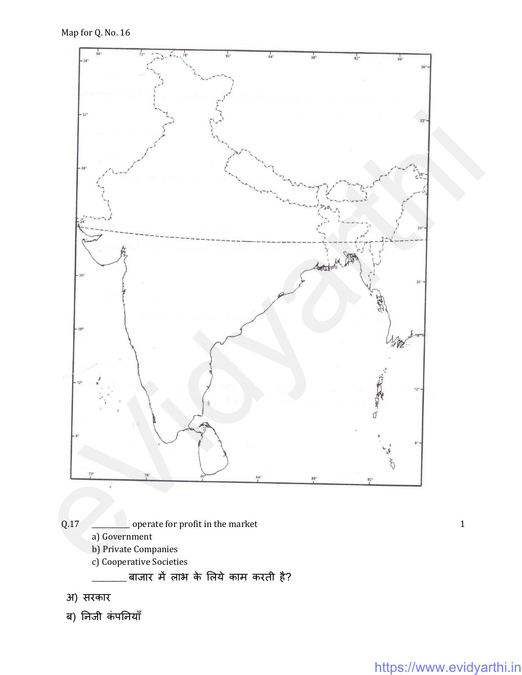

अ) सरकार

ब) निजी कंपनियाँ

 $\mathbf{1}$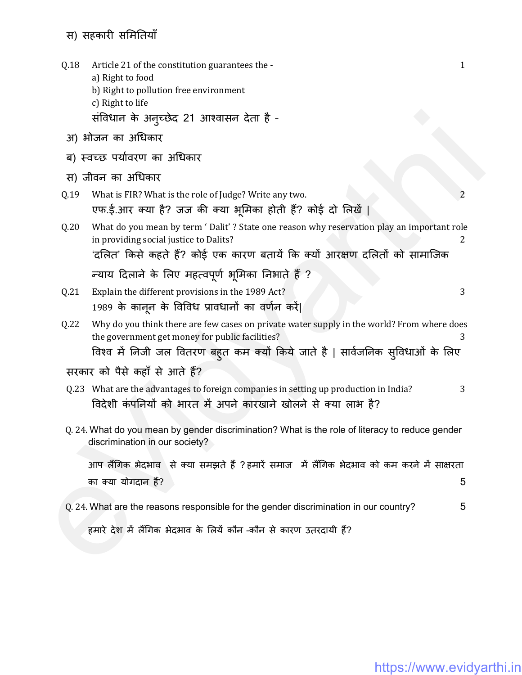## स) सहकारी समितियाँ

| Q.18 | Article 21 of the constitution guarantees the -<br>a) Right to food<br>b) Right to pollution free environment<br>c) Right to life<br>संविधान के अन्च्छेद 21 आश्वासन देता है -                                                   | $\mathbf{1}$ |
|------|---------------------------------------------------------------------------------------------------------------------------------------------------------------------------------------------------------------------------------|--------------|
|      | अ) भोजन का अधिकार                                                                                                                                                                                                               |              |
|      | ब) स्वच्छ पर्यावरण का अधिकार                                                                                                                                                                                                    |              |
|      | स) जीवन का अधिकार                                                                                                                                                                                                               |              |
| Q.19 | What is FIR? What is the role of Judge? Write any two.<br>एफ.ई.आर क्या है? जज की क्या भूमिका होती हैं? कोई दो लिखें                                                                                                             | 2            |
| Q.20 | What do you mean by term 'Dalit'? State one reason why reservation play an important role<br>in providing social justice to Dalits?<br>'दलित' किसे कहते हैं? कोई एक कारण बतायें कि क्यों आरक्षण दलितों को सामाजिक               | 2            |
|      | न्याय दिलाने के लिए महत्वपूर्ण भूमिका निभाते हैं ?                                                                                                                                                                              |              |
| Q.21 | Explain the different provisions in the 1989 Act?<br>1989 के कानून के विविध प्रावधानों का वर्णन करें                                                                                                                            | 3            |
| Q.22 | Why do you think there are few cases on private water supply in the world? From where does<br>the government get money for public facilities?<br>विश्व में निजी जल वितरण बहुत कम क्यों किये जाते है   सार्वजनिक सुविधाओं के लिए | З            |
|      | सरकार को पैसे कहाँ से आते हैं?                                                                                                                                                                                                  |              |
| Q.23 | What are the advantages to foreign companies in setting up production in India?<br>विदेशी कंपनियों को भारत में अपने कारखाने खोलने से क्या लाभ है?                                                                               | 3            |
|      | Q. 24. What do you mean by gender discrimination? What is the role of literacy to reduce gender<br>discrimination in our society?                                                                                               |              |
|      | आप लैंगिक भेदभाव से क्या समझते हैं ?हमारें समाज) में लैंगिक भेदभाव को कम करने में साक्षरता                                                                                                                                      |              |
|      | का क्या योगदान हैं?                                                                                                                                                                                                             | 5            |
|      | Q. 24. What are the reasons responsible for the gender discrimination in our country?                                                                                                                                           | 5            |
|      | हमारे देश में लैंगिक भेदभाव के लियें कौन -कौन से कारण उतरदायी हैं?                                                                                                                                                              |              |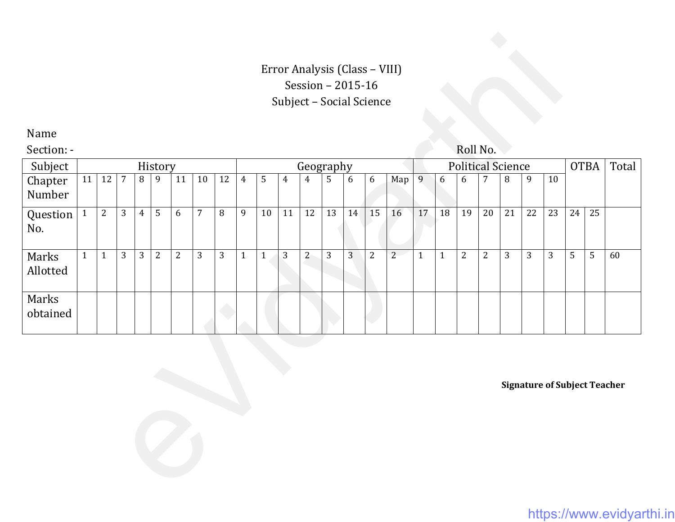## Error Analysis (Class – VIII) Session – 2015-16 Subject – Social Science

|                                     |              |              |                |                |                |                |                |    |                |              |                | Session - 2015-16 |              |                  | Error Analysis (Class - VIII)<br>Subject - Social Science |             |              |                          |                |                |                |                  |       |                |    |    |
|-------------------------------------|--------------|--------------|----------------|----------------|----------------|----------------|----------------|----|----------------|--------------|----------------|-------------------|--------------|------------------|-----------------------------------------------------------|-------------|--------------|--------------------------|----------------|----------------|----------------|------------------|-------|----------------|----|----|
| Name                                |              |              |                |                |                |                |                |    |                |              |                |                   |              |                  |                                                           |             |              |                          |                |                |                |                  |       |                |    |    |
| Section: -                          |              |              |                |                |                |                |                |    |                |              |                |                   |              |                  |                                                           |             |              |                          | Roll No.       |                |                |                  |       |                |    |    |
| Subject                             |              |              |                |                | History        |                |                |    | Geography      |              |                |                   |              |                  |                                                           |             |              | <b>Political Science</b> |                |                |                | <b>OTBA</b>      | Total |                |    |    |
| Chapter<br>Number                   | 11           | 12           | $\overline{7}$ | $\, 8$         | 9              | 11             | 10             | 12 | $\overline{4}$ | $\mathsf S$  | $\overline{4}$ | $\overline{4}$    | 5            | $\boldsymbol{6}$ | $6\,$                                                     | Map         | 9            | 6                        | 6              | $\overline{7}$ | 8              | $\boldsymbol{9}$ | 10    |                |    |    |
| Question<br>No.                     | $\mathbf{1}$ | $\mathbf{2}$ | 3              | $\overline{4}$ | 5              | 6              | $\overline{7}$ | 8  | 9              | 10           | 11             | 12                | 13           | 14               | 15                                                        | 16          | 17           | 18                       | 19             | 20             | 21             | 22               | 23    | 24             | 25 |    |
| Marks<br>Allotted                   | $\mathbf{1}$ | $\mathbf{1}$ | $\mathbf{3}$   | 3              | $\overline{2}$ | $\overline{2}$ | $\mathfrak{Z}$ | 3  | $\mathbf{1}$   | $\mathbf{1}$ | $\mathbf{3}$   | $\overline{2}$    | $\mathbf{3}$ | 3                | $\overline{2}$                                            | $2^{\circ}$ | $\mathbf{1}$ | $\mathbf{1}$             | $\overline{2}$ | $\mathbf{2}$   | $\mathfrak{Z}$ | $\mathfrak{Z}$   | 3     | $\overline{5}$ | 5  | 60 |
| Marks<br>obtained                   |              |              |                |                |                |                |                |    |                |              |                |                   |              |                  |                                                           |             |              |                          |                |                |                |                  |       |                |    |    |
| <b>Signature of Subject Teacher</b> |              |              |                |                |                |                |                |    |                |              |                |                   |              |                  |                                                           |             |              |                          |                |                |                |                  |       |                |    |    |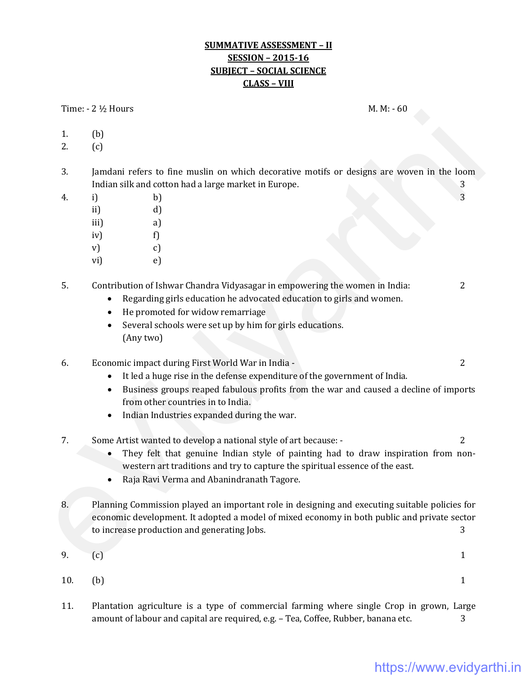#### **SUMMATIVE ASSESSMENT – II SESSION – 2015-16 SUBJECT – SOCIAL SCIENCE CLASS – VIII**

Time:  $-2\frac{1}{2}$  Hours M. M:  $-60$ 

- 1. (b)
- 2. (c)
- 3. Jamdani refers to fine muslin on which decorative motifs or designs are woven in the loom Indian silk and cotton had a large market in Europe. 3
- 4. i) b)  $\qquad \qquad$  5.3
	- ii) d)
	- iii) a)
	- iv)  $f$
	- $\mathbf{v}$  c)
	- vi) e)
- 5. Contribution of Ishwar Chandra Vidyasagar in empowering the women in India: 2
	- Regarding girls education he advocated education to girls and women.
	- He promoted for widow remarriage
	- Several schools were set up by him for girls educations. (Any two)

6. Economic impact during First World War in India - 2

- It led a huge rise in the defense expenditure of the government of India.
- Business groups reaped fabulous profits from the war and caused a decline of imports from other countries in to India.
- Indian Industries expanded during the war.
- 7. Some Artist wanted to develop a national style of art because: 2
	- They felt that genuine Indian style of painting had to draw inspiration from nonwestern art traditions and try to capture the spiritual essence of the east.
	- Raja Ravi Verma and Abanindranath Tagore.
- 8. Planning Commission played an important role in designing and executing suitable policies for economic development. It adopted a model of mixed economy in both public and private sector to increase production and generating Jobs. 3 2. (b)<br>
1. a., "00<br>
2. (c)<br>
2. (c)<br>
3. Jandau refers to fine muslin on which decorative motifs or designs are woven in the loom<br>
1. a., "00<br>
2. (c)<br>
3. a., 3. b)<br>
3. (a)<br>
4. a., 3. b)<br>
9. p.<br>
9. p.<br>
9. p.<br>
9. p.<br>
9. p.<br>
9
	- 9.  $(c)$  1

10. (b)  $1$ 

11. Plantation agriculture is a type of commercial farming where single Crop in grown, Large amount of labour and capital are required, e.g. - Tea, Coffee, Rubber, banana etc. 3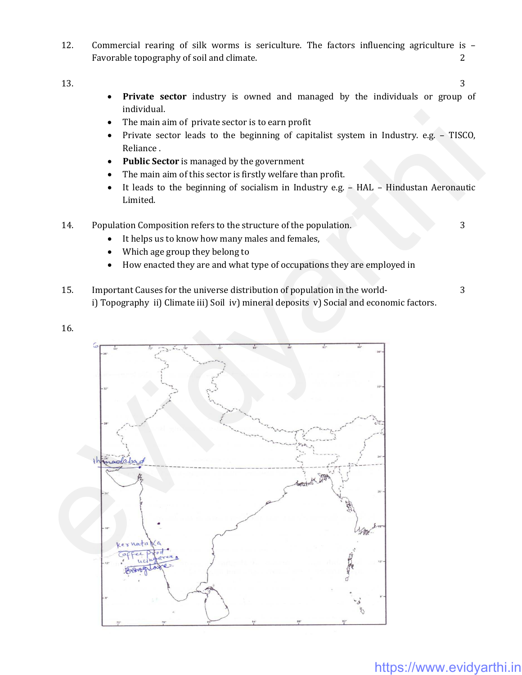12. Commercial rearing of silk worms is sericulture. The factors influencing agriculture is – Favorable topography of soil and climate. **2** 2

 $13.$   $3$ 

- **Private sector** industry is owned and managed by the individuals or group of individual.
- The main aim of private sector is to earn profit
- Private sector leads to the beginning of capitalist system in Industry. e.g. TISCO, Reliance .
- **Public Sector** is managed by the government
- The main aim of this sector is firstly welfare than profit.
- It leads to the beginning of socialism in Industry e.g. HAL Hindustan Aeronautic Limited.
- 14. Population Composition refers to the structure of the population. 3
	- It helps us to know how many males and females,
	- Which age group they belong to
	- How enacted they are and what type of occupations they are employed in
- 15. Important Causes for the universe distribution of population in the world- 3 i) Topography ii) Climate iii) Soil iv) mineral deposits v) Social and economic factors.
- 16.